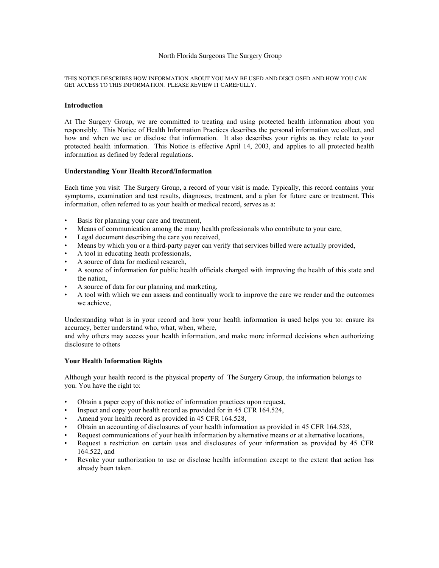### North Florida Surgeons The Surgery Group

THIS NOTICE DESCRIBES HOW INFORMATION ABOUT YOU MAY BE USED AND DISCLOSED AND HOW YOU CAN GET ACCESS TO THIS INFORMATION. PLEASE REVIEW IT CAREFULLY.

### **Introduction**

At The Surgery Group, we are committed to treating and using protected health information about you responsibly. This Notice of Health Information Practices describes the personal information we collect, and how and when we use or disclose that information. It also describes your rights as they relate to your protected health information. This Notice is effective April 14, 2003, and applies to all protected health information as defined by federal regulations.

### **Understanding Your Health Record/Information**

Each time you visit The Surgery Group, a record of your visit is made. Typically, this record contains your symptoms, examination and test results, diagnoses, treatment, and a plan for future care or treatment. This information, often referred to as your health or medical record, serves as a:

- Basis for planning your care and treatment,
- Means of communication among the many health professionals who contribute to your care,
- Legal document describing the care you received,
- Means by which you or a third-party payer can verify that services billed were actually provided,
- A tool in educating heath professionals,
- A source of data for medical research,
- A source of information for public health officials charged with improving the health of this state and the nation,
- A source of data for our planning and marketing,
- A tool with which we can assess and continually work to improve the care we render and the outcomes we achieve,

Understanding what is in your record and how your health information is used helps you to: ensure its accuracy, better understand who, what, when, where,

and why others may access your health information, and make more informed decisions when authorizing disclosure to others

## **Your Health Information Rights**

Although your health record is the physical property of The Surgery Group, the information belongs to you. You have the right to:

- Obtain a paper copy of this notice of information practices upon request,
- Inspect and copy your health record as provided for in 45 CFR 164.524,
- Amend your health record as provided in 45 CFR 164.528,
- Obtain an accounting of disclosures of your health information as provided in 45 CFR 164.528,
- Request communications of your health information by alternative means or at alternative locations,
- Request a restriction on certain uses and disclosures of your information as provided by 45 CFR 164.522, and
- Revoke your authorization to use or disclose health information except to the extent that action has already been taken.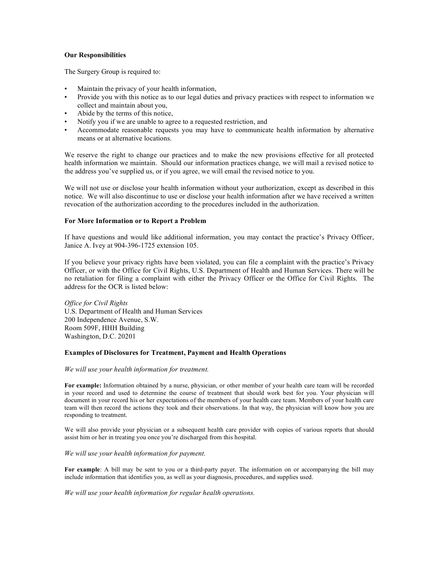## **Our Responsibilities**

The Surgery Group is required to:

- Maintain the privacy of your health information,
- Provide you with this notice as to our legal duties and privacy practices with respect to information we collect and maintain about you,
- Abide by the terms of this notice,
- Notify you if we are unable to agree to a requested restriction, and
- Accommodate reasonable requests you may have to communicate health information by alternative means or at alternative locations.

We reserve the right to change our practices and to make the new provisions effective for all protected health information we maintain. Should our information practices change, we will mail a revised notice to the address you've supplied us, or if you agree, we will email the revised notice to you.

We will not use or disclose your health information without your authorization, except as described in this notice. We will also discontinue to use or disclose your health information after we have received a written revocation of the authorization according to the procedures included in the authorization.

## **For More Information or to Report a Problem**

If have questions and would like additional information, you may contact the practice's Privacy Officer, Janice A. Ivey at 904-396-1725 extension 105.

If you believe your privacy rights have been violated, you can file a complaint with the practice's Privacy Officer, or with the Office for Civil Rights, U.S. Department of Health and Human Services. There will be no retaliation for filing a complaint with either the Privacy Officer or the Office for Civil Rights. The address for the OCR is listed below:

*Office for Civil Rights* U.S. Department of Health and Human Services 200 Independence Avenue, S.W. Room 509F, HHH Building Washington, D.C. 20201

## **Examples of Disclosures for Treatment, Payment and Health Operations**

## *We will use your health information for treatment.*

**For example:** Information obtained by a nurse, physician, or other member of your health care team will be recorded in your record and used to determine the course of treatment that should work best for you. Your physician will document in your record his or her expectations of the members of your health care team. Members of your health care team will then record the actions they took and their observations. In that way, the physician will know how you are responding to treatment.

We will also provide your physician or a subsequent health care provider with copies of various reports that should assist him or her in treating you once you're discharged from this hospital.

# *We will use your health information for payment.*

**For example**: A bill may be sent to you or a third-party payer. The information on or accompanying the bill may include information that identifies you, as well as your diagnosis, procedures, and supplies used.

*We will use your health information for regular health operations.*